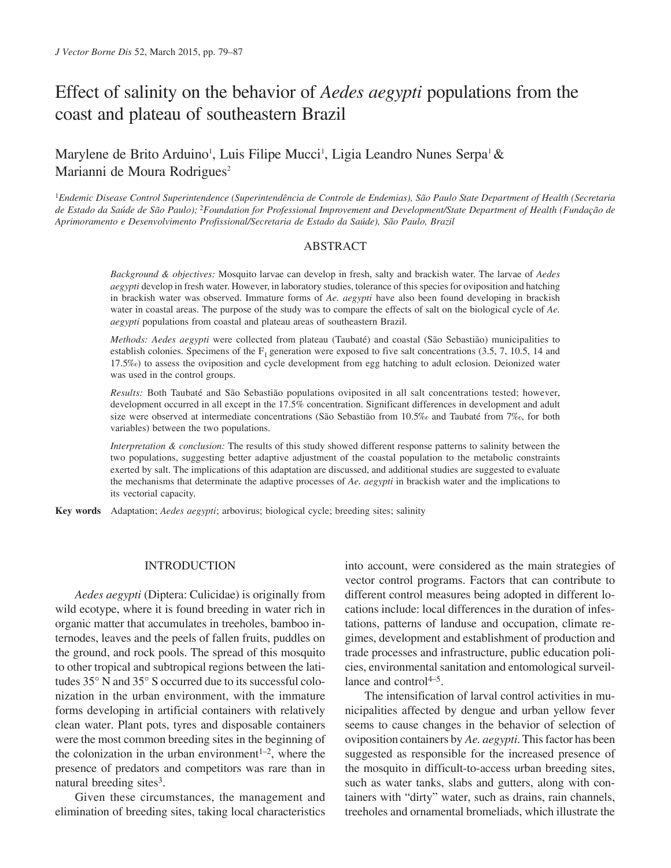# Effect of salinity on the behavior of *Aedes aegypti* populations from the coast and plateau of southeastern Brazil

# Marylene de Brito Arduino<sup>1</sup>, Luis Filipe Mucci<sup>1</sup>, Ligia Leandro Nunes Serpa<sup>1</sup> & Marianni de Moura Rodrigues<sup>2</sup>

<sup>1</sup>*Endemic Disease Control Superintendence (Superintendência de Controle de Endemias), São Paulo State Department of Health (Secretaria de Estado da Saúde de São Paulo);* <sup>2</sup>*Foundation for Professional Improvement and Development/State Department of Health (Fundação de Aprimoramento e Desenvolvimento Profissional/Secretaria de Estado da Saúde), São Paulo, Brazil*

# ABSTRACT

*Background & objectives:* Mosquito larvae can develop in fresh, salty and brackish water. The larvae of *Aedes aegypti* develop in fresh water. However, in laboratory studies, tolerance of this species for oviposition and hatching in brackish water was observed. Immature forms of *Ae. aegypti* have also been found developing in brackish water in coastal areas. The purpose of the study was to compare the effects of salt on the biological cycle of *Ae. aegypti* populations from coastal and plateau areas of southeastern Brazil.

*Methods: Aedes aegypti* were collected from plateau (Taubaté) and coastal (São Sebastião) municipalities to establish colonies. Specimens of the  $F_1$  generation were exposed to five salt concentrations (3.5, 7, 10.5, 14 and 17.5‰) to assess the oviposition and cycle development from egg hatching to adult eclosion. Deionized water was used in the control groups.

*Results:* Both Taubaté and São Sebastião populations oviposited in all salt concentrations tested; however, development occurred in all except in the 17.5% concentration. Significant differences in development and adult size were observed at intermediate concentrations (São Sebastião from 10.5‰ and Taubaté from 7‰, for both variables) between the two populations.

*Interpretation & conclusion:* The results of this study showed different response patterns to salinity between the two populations, suggesting better adaptive adjustment of the coastal population to the metabolic constraints exerted by salt. The implications of this adaptation are discussed, and additional studies are suggested to evaluate the mechanisms that determinate the adaptive processes of *Ae. aegypti* in brackish water and the implications to its vectorial capacity.

**Key words** Adaptation; *Aedes aegypti*; arbovirus; biological cycle; breeding sites; salinity

## INTRODUCTION

*Aedes aegypti* (Diptera: Culicidae) is originally from wild ecotype, where it is found breeding in water rich in organic matter that accumulates in treeholes, bamboo internodes, leaves and the peels of fallen fruits, puddles on the ground, and rock pools. The spread of this mosquito to other tropical and subtropical regions between the latitudes 35° N and 35° S occurred due to its successful colonization in the urban environment, with the immature forms developing in artificial containers with relatively clean water. Plant pots, tyres and disposable containers were the most common breeding sites in the beginning of the colonization in the urban environment $1-2$ , where the presence of predators and competitors was rare than in natural breeding sites<sup>3</sup>.

Given these circumstances, the management and elimination of breeding sites, taking local characteristics

into account, were considered as the main strategies of vector control programs. Factors that can contribute to different control measures being adopted in different locations include: local differences in the duration of infestations, patterns of landuse and occupation, climate regimes, development and establishment of production and trade processes and infrastructure, public education policies, environmental sanitation and entomological surveillance and control $4-5$ .

The intensification of larval control activities in municipalities affected by dengue and urban yellow fever seems to cause changes in the behavior of selection of oviposition containers by *Ae. aegypti*. This factor has been suggested as responsible for the increased presence of the mosquito in difficult-to-access urban breeding sites, such as water tanks, slabs and gutters, along with containers with "dirty" water, such as drains, rain channels, treeholes and ornamental bromeliads, which illustrate the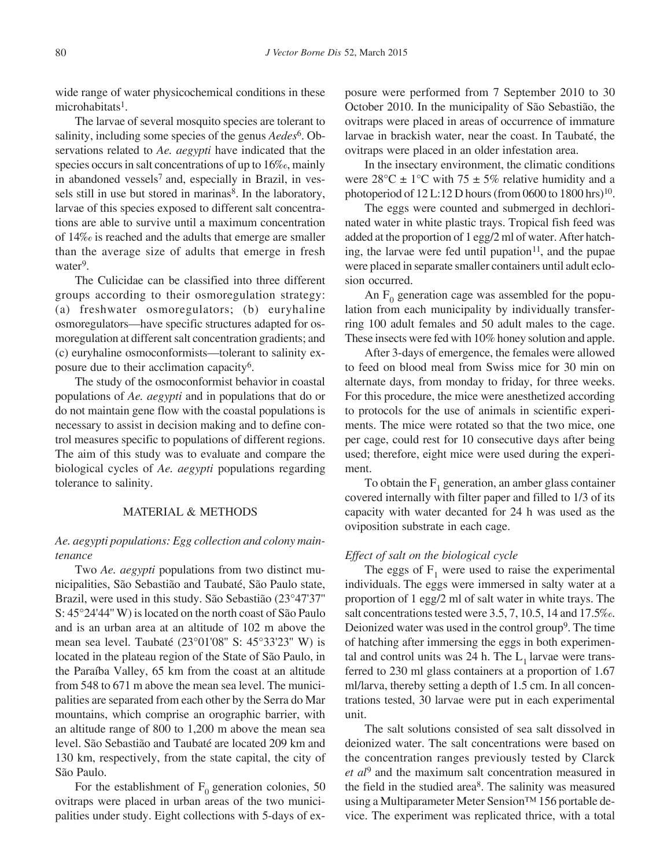wide range of water physicochemical conditions in these microhabitats<sup>1</sup>.

The larvae of several mosquito species are tolerant to salinity, including some species of the genus *Aedes*6. Observations related to *Ae. aegypti* have indicated that the species occurs in salt concentrations of up to 16‰, mainly in abandoned vessels<sup>7</sup> and, especially in Brazil, in vessels still in use but stored in marinas<sup>8</sup>. In the laboratory, larvae of this species exposed to different salt concentrations are able to survive until a maximum concentration of 14‰ is reached and the adults that emerge are smaller than the average size of adults that emerge in fresh water<sup>9</sup>.

The Culicidae can be classified into three different groups according to their osmoregulation strategy: (a) freshwater osmoregulators; (b) euryhaline osmoregulators—have specific structures adapted for osmoregulation at different salt concentration gradients; and (c) euryhaline osmoconformists—tolerant to salinity exposure due to their acclimation capacity6.

The study of the osmoconformist behavior in coastal populations of *Ae. aegypti* and in populations that do or do not maintain gene flow with the coastal populations is necessary to assist in decision making and to define control measures specific to populations of different regions. The aim of this study was to evaluate and compare the biological cycles of *Ae. aegypti* populations regarding tolerance to salinity.

## MATERIAL & METHODS

# *Ae. aegypti populations: Egg collection and colony maintenance*

Two *Ae. aegypti* populations from two distinct municipalities, São Sebastião and Taubaté, São Paulo state, Brazil, were used in this study. São Sebastião (23°47'37'' S: 45°24'44'' W) is located on the north coast of São Paulo and is an urban area at an altitude of 102 m above the mean sea level. Taubaté (23°01'08'' S: 45°33'23'' W) is located in the plateau region of the State of São Paulo, in the Paraíba Valley, 65 km from the coast at an altitude from 548 to 671 m above the mean sea level. The municipalities are separated from each other by the Serra do Mar mountains, which comprise an orographic barrier, with an altitude range of 800 to 1,200 m above the mean sea level. São Sebastião and Taubaté are located 209 km and 130 km, respectively, from the state capital, the city of São Paulo.

For the establishment of  $F_0$  generation colonies, 50 ovitraps were placed in urban areas of the two municipalities under study. Eight collections with 5-days of exposure were performed from 7 September 2010 to 30 October 2010. In the municipality of São Sebastião, the ovitraps were placed in areas of occurrence of immature larvae in brackish water, near the coast. In Taubaté, the ovitraps were placed in an older infestation area.

In the insectary environment, the climatic conditions were  $28^{\circ}\text{C} \pm 1^{\circ}\text{C}$  with  $75 \pm 5\%$  relative humidity and a photoperiod of  $12$  L:12 D hours (from 0600 to 1800 hrs)<sup>10</sup>.

The eggs were counted and submerged in dechlorinated water in white plastic trays. Tropical fish feed was added at the proportion of 1 egg/2 ml of water. After hatching, the larvae were fed until pupation $11$ , and the pupae were placed in separate smaller containers until adult eclosion occurred.

An  $F_0$  generation cage was assembled for the population from each municipality by individually transferring 100 adult females and 50 adult males to the cage. These insects were fed with 10% honey solution and apple.

After 3-days of emergence, the females were allowed to feed on blood meal from Swiss mice for 30 min on alternate days, from monday to friday, for three weeks. For this procedure, the mice were anesthetized according to protocols for the use of animals in scientific experiments. The mice were rotated so that the two mice, one per cage, could rest for 10 consecutive days after being used; therefore, eight mice were used during the experiment.

To obtain the  $F_1$  generation, an amber glass container covered internally with filter paper and filled to 1/3 of its capacity with water decanted for 24 h was used as the oviposition substrate in each cage.

#### *Effect of salt on the biological cycle*

The eggs of  $F_1$  were used to raise the experimental individuals. The eggs were immersed in salty water at a proportion of 1 egg/2 ml of salt water in white trays. The salt concentrations tested were 3.5, 7, 10.5, 14 and 17.5‰. Deionized water was used in the control group<sup>9</sup>. The time of hatching after immersing the eggs in both experimental and control units was 24 h. The  $L_1$  larvae were transferred to 230 ml glass containers at a proportion of 1.67 ml/larva, thereby setting a depth of 1.5 cm. In all concentrations tested, 30 larvae were put in each experimental unit.

The salt solutions consisted of sea salt dissolved in deionized water. The salt concentrations were based on the concentration ranges previously tested by Clarck *et al*9 and the maximum salt concentration measured in the field in the studied area8. The salinity was measured using a Multiparameter Meter Sension™ 156 portable device. The experiment was replicated thrice, with a total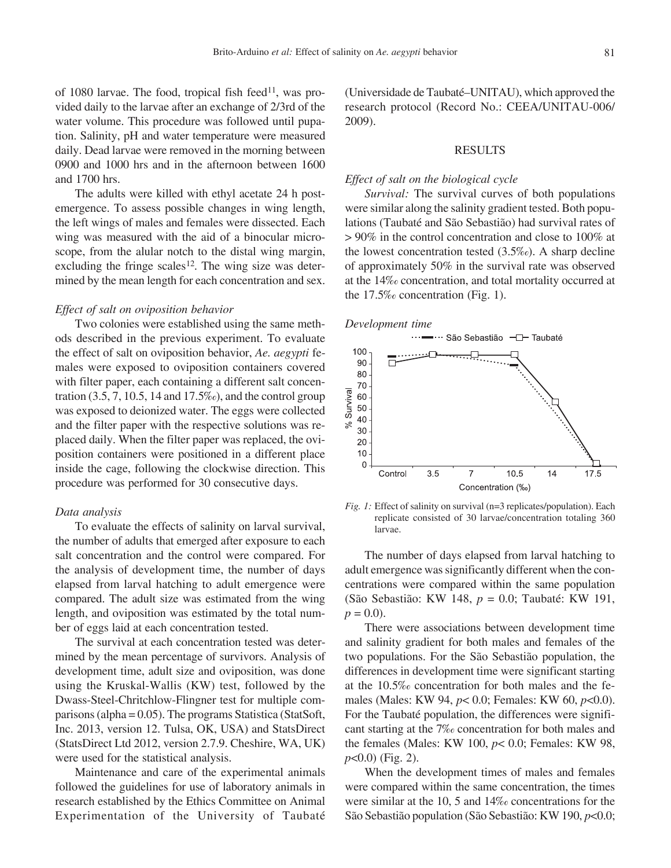of 1080 larvae. The food, tropical fish feed $^{11}$ , was provided daily to the larvae after an exchange of 2/3rd of the water volume. This procedure was followed until pupation. Salinity, pH and water temperature were measured daily. Dead larvae were removed in the morning between 0900 and 1000 hrs and in the afternoon between 1600 and 1700 hrs.

The adults were killed with ethyl acetate 24 h postemergence. To assess possible changes in wing length, the left wings of males and females were dissected. Each wing was measured with the aid of a binocular microscope, from the alular notch to the distal wing margin, excluding the fringe scales $12$ . The wing size was determined by the mean length for each concentration and sex.

#### *Effect of salt on oviposition behavior*

Two colonies were established using the same methods described in the previous experiment. To evaluate the effect of salt on oviposition behavior, *Ae. aegypti* females were exposed to oviposition containers covered with filter paper, each containing a different salt concentration (3.5, 7, 10.5, 14 and 17.5‰), and the control group was exposed to deionized water. The eggs were collected and the filter paper with the respective solutions was replaced daily. When the filter paper was replaced, the oviposition containers were positioned in a different place inside the cage, following the clockwise direction. This procedure was performed for 30 consecutive days.

#### *Data analysis*

To evaluate the effects of salinity on larval survival, the number of adults that emerged after exposure to each salt concentration and the control were compared. For the analysis of development time, the number of days elapsed from larval hatching to adult emergence were compared. The adult size was estimated from the wing length, and oviposition was estimated by the total number of eggs laid at each concentration tested.

The survival at each concentration tested was determined by the mean percentage of survivors. Analysis of development time, adult size and oviposition, was done using the Kruskal-Wallis (KW) test, followed by the Dwass-Steel-Chritchlow-Flingner test for multiple comparisons (alpha = 0.05). The programs Statistica (StatSoft, Inc. 2013, version 12. Tulsa, OK, USA) and StatsDirect (StatsDirect Ltd 2012, version 2.7.9. Cheshire, WA, UK) were used for the statistical analysis.

Maintenance and care of the experimental animals followed the guidelines for use of laboratory animals in research established by the Ethics Committee on Animal Experimentation of the University of Taubaté (Universidade de Taubaté–UNITAU), which approved the research protocol (Record No.: CEEA/UNITAU-006/ 2009).

# RESULTS

# *Effect of salt on the biological cycle*

*Survival:* The survival curves of both populations were similar along the salinity gradient tested. Both populations (Taubaté and São Sebastião) had survival rates of > 90% in the control concentration and close to 100% at the lowest concentration tested (3.5‰). A sharp decline of approximately 50% in the survival rate was observed at the 14‰ concentration, and total mortality occurred at the 17.5‰ concentration (Fig. 1).





*Fig. 1:* Effect of salinity on survival (n=3 replicates/population). Each replicate consisted of 30 larvae/concentration totaling 360 larvae.

The number of days elapsed from larval hatching to adult emergence was significantly different when the concentrations were compared within the same population (São Sebastião: KW 148, *p* = 0.0; Taubaté: KW 191,  $p = 0.0$ ).

There were associations between development time and salinity gradient for both males and females of the two populations. For the São Sebastião population, the differences in development time were significant starting at the 10.5‰ concentration for both males and the females (Males: KW 94, *p*< 0.0; Females: KW 60, *p*<0.0). For the Taubaté population, the differences were significant starting at the 7‰ concentration for both males and the females (Males: KW 100, *p*< 0.0; Females: KW 98, *p*<0.0) (Fig. 2).

When the development times of males and females were compared within the same concentration, the times were similar at the 10, 5 and 14‰ concentrations for the São Sebastião population (São Sebastião: KW 190, *p*<0.0;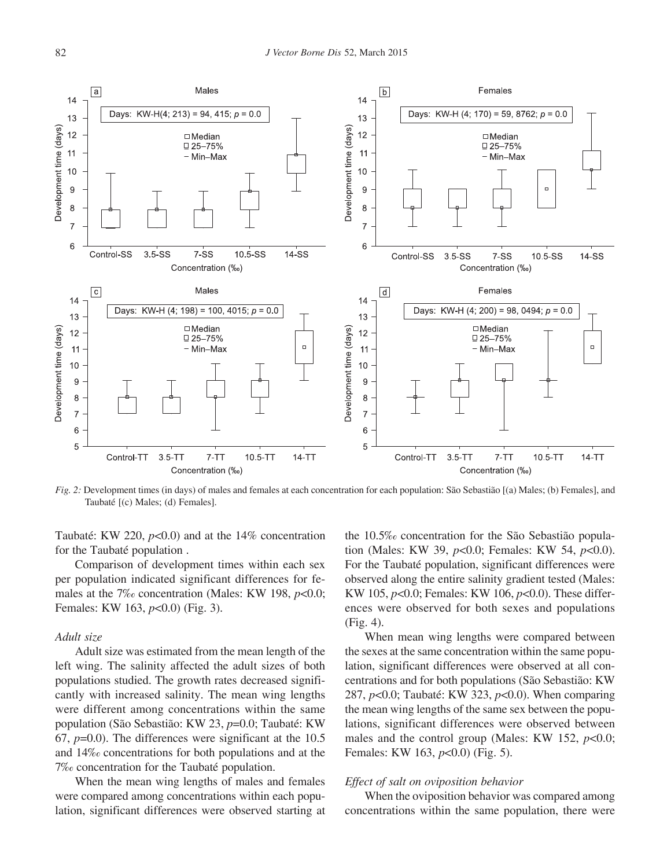

*Fig. 2:* Development times (in days) of males and females at each concentration for each population: São Sebastião [(a) Males; (b) Females], and Taubaté [(c) Males; (d) Females].

Taubaté: KW 220,  $p<0.0$ ) and at the 14% concentration for the Taubaté population .

Comparison of development times within each sex per population indicated significant differences for females at the 7‰ concentration (Males: KW 198, *p*<0.0; Females: KW 163, *p*<0.0) (Fig. 3).

#### *Adult size*

Adult size was estimated from the mean length of the left wing. The salinity affected the adult sizes of both populations studied. The growth rates decreased significantly with increased salinity. The mean wing lengths were different among concentrations within the same population (São Sebastião: KW 23, *p*=0.0; Taubaté: KW 67, *p*=0.0). The differences were significant at the 10.5 and 14‰ concentrations for both populations and at the 7‰ concentration for the Taubaté population.

When the mean wing lengths of males and females were compared among concentrations within each population, significant differences were observed starting at the 10.5‰ concentration for the São Sebastião population (Males: KW 39, *p*<0.0; Females: KW 54, *p*<0.0). For the Taubaté population, significant differences were observed along the entire salinity gradient tested (Males: KW 105, *p*<0.0; Females: KW 106, *p*<0.0). These differences were observed for both sexes and populations (Fig. 4).

When mean wing lengths were compared between the sexes at the same concentration within the same population, significant differences were observed at all concentrations and for both populations (São Sebastião: KW 287, *p*<0.0; Taubaté: KW 323, *p*<0.0). When comparing the mean wing lengths of the same sex between the populations, significant differences were observed between males and the control group (Males: KW 152,  $p<0.0$ ; Females: KW 163, *p*<0.0) (Fig. 5).

#### *Effect of salt on oviposition behavior*

When the oviposition behavior was compared among concentrations within the same population, there were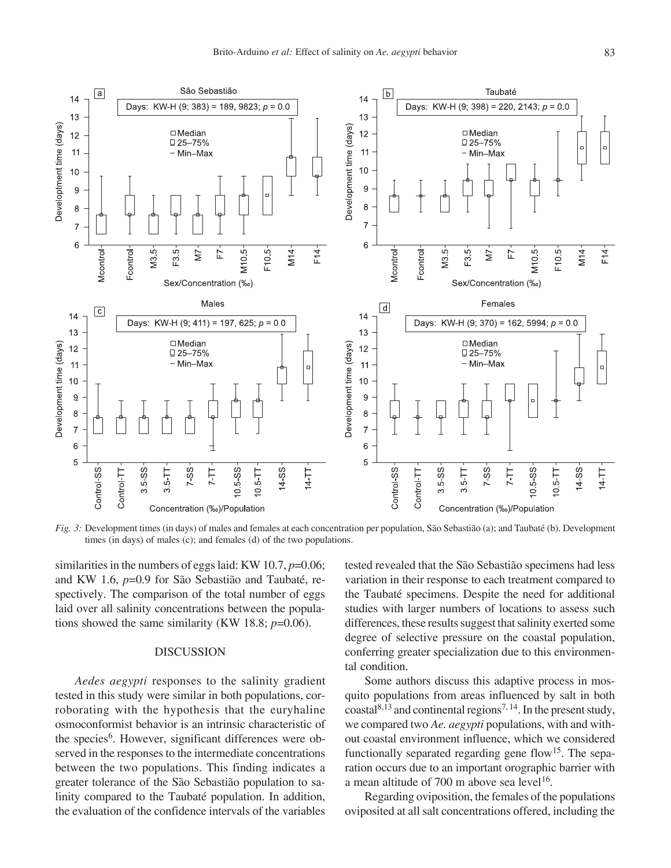

*Fig. 3:* Development times (in days) of males and females at each concentration per population, São Sebastião (a); and Taubaté (b). Development times (in days) of males (c); and females (d) of the two populations.

similarities in the numbers of eggs laid: KW 10.7, *p*=0.06; and KW 1.6, *p*=0.9 for São Sebastião and Taubaté, respectively. The comparison of the total number of eggs laid over all salinity concentrations between the populations showed the same similarity (KW 18.8;  $p=0.06$ ).

# DISCUSSION

*Aedes aegypti* responses to the salinity gradient tested in this study were similar in both populations, corroborating with the hypothesis that the euryhaline osmoconformist behavior is an intrinsic characteristic of the species<sup>6</sup>. However, significant differences were observed in the responses to the intermediate concentrations between the two populations. This finding indicates a greater tolerance of the São Sebastião population to salinity compared to the Taubaté population. In addition, the evaluation of the confidence intervals of the variables tested revealed that the São Sebastião specimens had less variation in their response to each treatment compared to the Taubaté specimens. Despite the need for additional studies with larger numbers of locations to assess such differences, these results suggest that salinity exerted some degree of selective pressure on the coastal population, conferring greater specialization due to this environmental condition.

Some authors discuss this adaptive process in mosquito populations from areas influenced by salt in both coastal<sup>8,13</sup> and continental regions<sup>7, 14</sup>. In the present study, we compared two *Ae. aegypti* populations, with and without coastal environment influence, which we considered functionally separated regarding gene flow<sup>15</sup>. The separation occurs due to an important orographic barrier with a mean altitude of 700 m above sea level<sup>16</sup>.

Regarding oviposition, the females of the populations oviposited at all salt concentrations offered, including the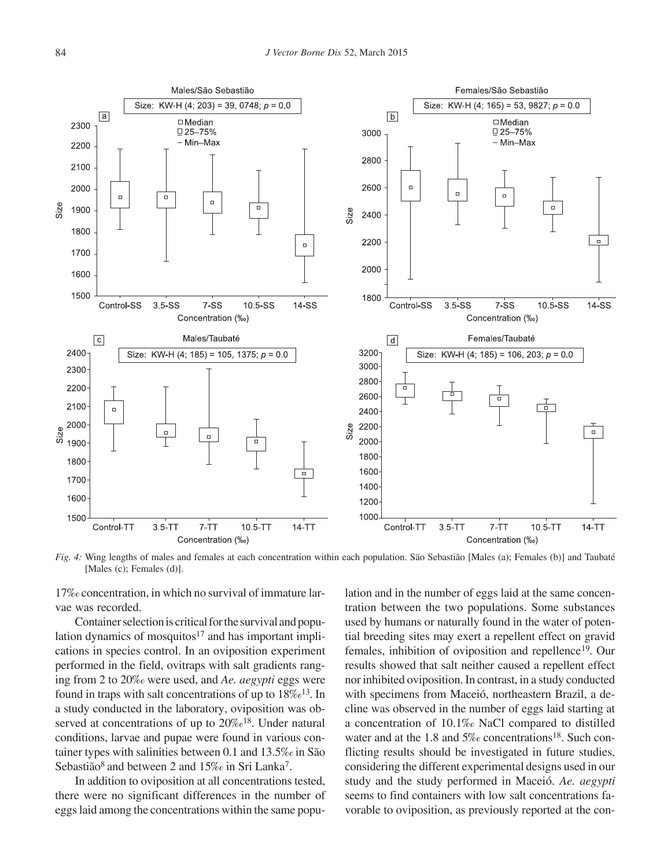

*Fig. 4:* Wing lengths of males and females at each concentration within each population. São Sebastião [Males (a); Females (b)] and Taubaté [Males (c); Females (d)].

17‰ concentration, in which no survival of immature larvae was recorded.

Container selection is critical for the survival and population dynamics of mosquitos $17$  and has important implications in species control. In an oviposition experiment performed in the field, ovitraps with salt gradients ranging from 2 to 20‰ were used, and *Ae. aegypti* eggs were found in traps with salt concentrations of up to  $18\%<sub>o</sub>^{13}$ . In a study conducted in the laboratory, oviposition was observed at concentrations of up to 20‰<sup>18</sup>. Under natural conditions, larvae and pupae were found in various container types with salinities between 0.1 and 13.5‰ in São Sebastião<sup>8</sup> and between 2 and 15‰ in Sri Lanka<sup>7</sup>.

In addition to oviposition at all concentrations tested, there were no significant differences in the number of eggs laid among the concentrations within the same population and in the number of eggs laid at the same concentration between the two populations. Some substances used by humans or naturally found in the water of potential breeding sites may exert a repellent effect on gravid females, inhibition of oviposition and repellence<sup>19</sup>. Our results showed that salt neither caused a repellent effect nor inhibited oviposition. In contrast, in a study conducted with specimens from Maceió, northeastern Brazil, a decline was observed in the number of eggs laid starting at a concentration of 10.1‰ NaCl compared to distilled water and at the 1.8 and  $5\%$  concentrations<sup>18</sup>. Such conflicting results should be investigated in future studies, considering the different experimental designs used in our study and the study performed in Maceió. *Ae. aegypti* seems to find containers with low salt concentrations favorable to oviposition, as previously reported at the con-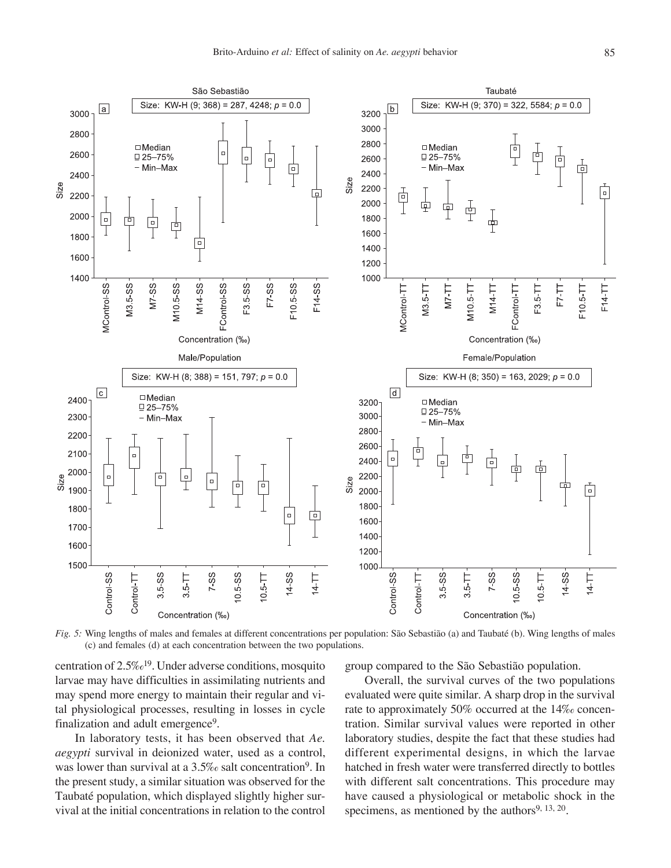

*Fig. 5:* Wing lengths of males and females at different concentrations per population: São Sebastião (a) and Taubaté (b). Wing lengths of males (c) and females (d) at each concentration between the two populations.

centration of 2.5‰19. Under adverse conditions, mosquito larvae may have difficulties in assimilating nutrients and may spend more energy to maintain their regular and vital physiological processes, resulting in losses in cycle finalization and adult emergence<sup>9</sup>.

In laboratory tests, it has been observed that *Ae. aegypti* survival in deionized water, used as a control, was lower than survival at a 3.5‰ salt concentration<sup>9</sup>. In the present study, a similar situation was observed for the Taubaté population, which displayed slightly higher survival at the initial concentrations in relation to the control group compared to the São Sebastião population.

Overall, the survival curves of the two populations evaluated were quite similar. A sharp drop in the survival rate to approximately 50% occurred at the 14‰ concentration. Similar survival values were reported in other laboratory studies, despite the fact that these studies had different experimental designs, in which the larvae hatched in fresh water were transferred directly to bottles with different salt concentrations. This procedure may have caused a physiological or metabolic shock in the specimens, as mentioned by the authors $9, 13, 20$ .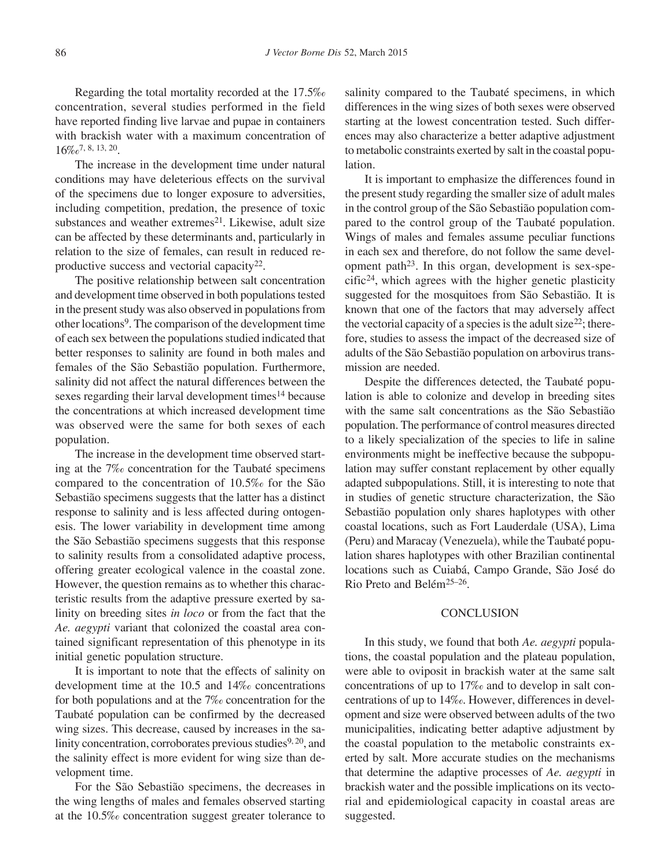Regarding the total mortality recorded at the 17.5‰ concentration, several studies performed in the field have reported finding live larvae and pupae in containers with brackish water with a maximum concentration of  $16\%$ <sub>c</sub><sup>7</sup>, 8, 13, 20<sub>.</sub>

The increase in the development time under natural conditions may have deleterious effects on the survival of the specimens due to longer exposure to adversities, including competition, predation, the presence of toxic substances and weather extremes $21$ . Likewise, adult size can be affected by these determinants and, particularly in relation to the size of females, can result in reduced reproductive success and vectorial capacity $2^2$ .

The positive relationship between salt concentration and development time observed in both populations tested in the present study was also observed in populations from other locations9. The comparison of the development time of each sex between the populations studied indicated that better responses to salinity are found in both males and females of the São Sebastião population. Furthermore, salinity did not affect the natural differences between the sexes regarding their larval development times<sup>14</sup> because the concentrations at which increased development time was observed were the same for both sexes of each population.

The increase in the development time observed starting at the 7‰ concentration for the Taubaté specimens compared to the concentration of 10.5‰ for the São Sebastião specimens suggests that the latter has a distinct response to salinity and is less affected during ontogenesis. The lower variability in development time among the São Sebastião specimens suggests that this response to salinity results from a consolidated adaptive process, offering greater ecological valence in the coastal zone. However, the question remains as to whether this characteristic results from the adaptive pressure exerted by salinity on breeding sites *in loco* or from the fact that the *Ae. aegypti* variant that colonized the coastal area contained significant representation of this phenotype in its initial genetic population structure.

It is important to note that the effects of salinity on development time at the 10.5 and 14‰ concentrations for both populations and at the 7‰ concentration for the Taubaté population can be confirmed by the decreased wing sizes. This decrease, caused by increases in the salinity concentration, corroborates previous studies $9,20$ , and the salinity effect is more evident for wing size than development time.

For the São Sebastião specimens, the decreases in the wing lengths of males and females observed starting at the 10.5‰ concentration suggest greater tolerance to salinity compared to the Taubaté specimens, in which differences in the wing sizes of both sexes were observed starting at the lowest concentration tested. Such differences may also characterize a better adaptive adjustment to metabolic constraints exerted by salt in the coastal population.

It is important to emphasize the differences found in the present study regarding the smaller size of adult males in the control group of the São Sebastião population compared to the control group of the Taubaté population. Wings of males and females assume peculiar functions in each sex and therefore, do not follow the same development path<sup>23</sup>. In this organ, development is sex-spe $c$ ific<sup>24</sup>, which agrees with the higher genetic plasticity suggested for the mosquitoes from São Sebastião. It is known that one of the factors that may adversely affect the vectorial capacity of a species is the adult size<sup>22</sup>; therefore, studies to assess the impact of the decreased size of adults of the São Sebastião population on arbovirus transmission are needed.

Despite the differences detected, the Taubaté population is able to colonize and develop in breeding sites with the same salt concentrations as the São Sebastião population. The performance of control measures directed to a likely specialization of the species to life in saline environments might be ineffective because the subpopulation may suffer constant replacement by other equally adapted subpopulations. Still, it is interesting to note that in studies of genetic structure characterization, the São Sebastião population only shares haplotypes with other coastal locations, such as Fort Lauderdale (USA), Lima (Peru) and Maracay (Venezuela), while the Taubaté population shares haplotypes with other Brazilian continental locations such as Cuiabá, Campo Grande, São José do Rio Preto and Belém25–26.

# **CONCLUSION**

In this study, we found that both *Ae. aegypti* populations, the coastal population and the plateau population, were able to oviposit in brackish water at the same salt concentrations of up to 17‰ and to develop in salt concentrations of up to 14‰. However, differences in development and size were observed between adults of the two municipalities, indicating better adaptive adjustment by the coastal population to the metabolic constraints exerted by salt. More accurate studies on the mechanisms that determine the adaptive processes of *Ae. aegypti* in brackish water and the possible implications on its vectorial and epidemiological capacity in coastal areas are suggested.